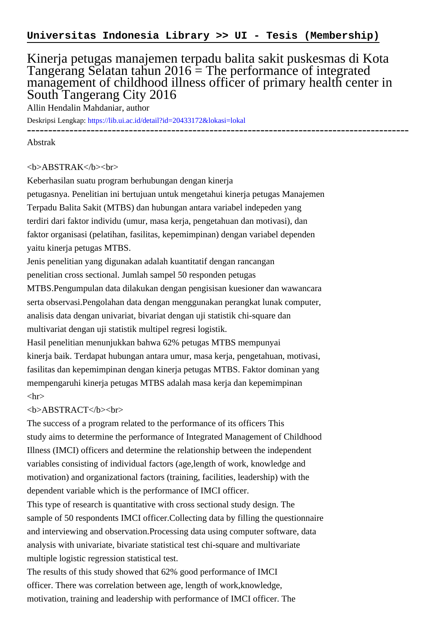## Kinerja petugas manajemen terpadu balita sakit puskesmas di Kota Tangerang Selatan tahun  $2016 =$ The performance of integrated management of childhood illness officer of primary health center in South Tangerang City 2016

Allin Hendalin Mahdaniar, author

Deskripsi Lengkap:<https://lib.ui.ac.id/detail?id=20433172&lokasi=lokal>

------------------------------------------------------------------------------------------

Abstrak

## <b>ABSTRAK</b><br>

Keberhasilan suatu program berhubungan dengan kinerja petugasnya. Penelitian ini bertujuan untuk mengetahui kinerja petugas Manajemen Terpadu Balita Sakit (MTBS) dan hubungan antara variabel indepeden yang terdiri dari faktor individu (umur, masa kerja, pengetahuan dan motivasi), dan faktor organisasi (pelatihan, fasilitas, kepemimpinan) dengan variabel dependen yaitu kinerja petugas MTBS.

Jenis penelitian yang digunakan adalah kuantitatif dengan rancangan

penelitian cross sectional. Jumlah sampel 50 responden petugas

MTBS.Pengumpulan data dilakukan dengan pengisisan kuesioner dan wawancara serta observasi.Pengolahan data dengan menggunakan perangkat lunak computer, analisis data dengan univariat, bivariat dengan uji statistik chi-square dan multivariat dengan uji statistik multipel regresi logistik.

Hasil penelitian menunjukkan bahwa 62% petugas MTBS mempunyai kinerja baik. Terdapat hubungan antara umur, masa kerja, pengetahuan, motivasi, fasilitas dan kepemimpinan dengan kinerja petugas MTBS. Faktor dominan yang mempengaruhi kinerja petugas MTBS adalah masa kerja dan kepemimpinan  $\langle$ hr $>$ 

## <b>ABSTRACT</b><br>

The success of a program related to the performance of its officers This study aims to determine the performance of Integrated Management of Childhood Illness (IMCI) officers and determine the relationship between the independent variables consisting of individual factors (age,length of work, knowledge and motivation) and organizational factors (training, facilities, leadership) with the dependent variable which is the performance of IMCI officer.

This type of research is quantitative with cross sectional study design. The sample of 50 respondents IMCI officer.Collecting data by filling the questionnaire and interviewing and observation.Processing data using computer software, data analysis with univariate, bivariate statistical test chi-square and multivariate multiple logistic regression statistical test.

The results of this study showed that 62% good performance of IMCI officer. There was correlation between age, length of work,knowledge, motivation, training and leadership with performance of IMCI officer. The